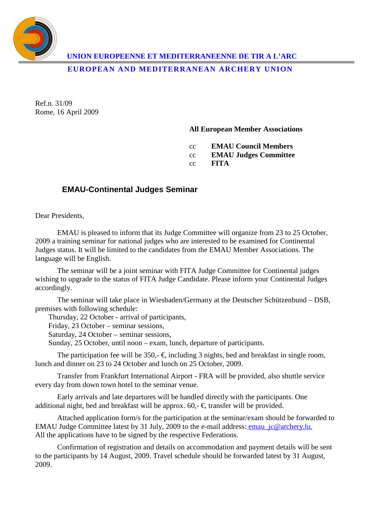

**UNION EUROPEENNE ET MEDITERRANEENNE DE TIR A L'ARC** 

**EUROPEAN AND MEDITERRANEAN ARCHERY UNION** 

Ref.n. 31/09 Rome, 16 April 2009

**All European Member Associations** 

cc **EMAU Council Members** 

cc **EMAU Judges Committee** 

cc **FITA** 

## **EMAU-Continental Judges Seminar**

Dear Presidents,

EMAU is pleased to inform that its Judge Committee will organize from 23 to 25 October, 2009 a training seminar for national judges who are interested to be examined for Continental Judges status. It will be limited to the candidates from the EMAU Member Associations. The language will be English.

The seminar will be a joint seminar with FITA Judge Committee for Continental judges wishing to upgrade to the status of FITA Judge Candidate. Please inform your Continental Judges accordingly.

The seminar will take place in Wiesbaden/Germany at the Deutscher Schützenbund – DSB, premises with following schedule:

Thursday, 22 October - arrival of participants,

Friday, 23 October – seminar sessions,

Saturday, 24 October – seminar sessions,

Sunday, 25 October, until noon – exam, lunch, departure of participants.

The participation fee will be 350,-  $\epsilon$ , including 3 nights, bed and breakfast in single room, lunch and dinner on 23 to 24 October and lunch on 25 October, 2009.

Transfer from Frankfurt International Airport - FRA will be provided, also shuttle service every day from down town hotel to the seminar venue.

Early arrivals and late departures will be handled directly with the participants. One additional night, bed and breakfast will be approx. 60,-  $\epsilon$ , transfer will be provided.

Attached application form/s for the participation at the seminar/exam should be forwarded to EMAU Judge Committee latest by 31 July, 2009 to the e-mail address: emau jc@archery.lu. All the applications have to be signed by the respective Federations.

Confirmation of registration and details on accommodation and payment details will be sent to the participants by 14 August, 2009. Travel schedule should be forwarded latest by 31 August, 2009.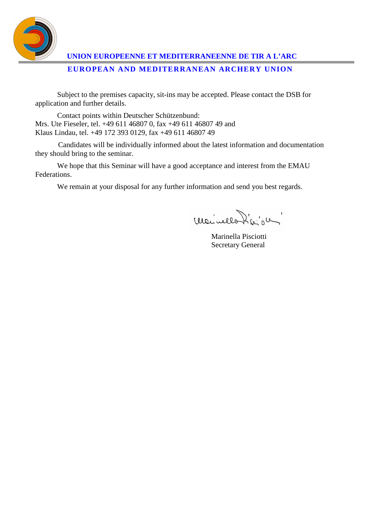

 **UNION EUROPEENNE ET MEDITERRANEENNE DE TIR A L'ARC EUROPEAN AND MEDITERRANEAN ARCHERY UNION** 

Subject to the premises capacity, sit-ins may be accepted. Please contact the DSB for application and further details.

Contact points within Deutscher Schützenbund: Mrs. Ute Fieseler, tel. +49 611 46807 0, fax +49 611 46807 49 and Klaus Lindau, tel. +49 172 393 0129, fax +49 611 46807 49

Candidates will be individually informed about the latest information and documentation they should bring to the seminar.

We hope that this Seminar will have a good acceptance and interest from the EMAU Federations.

We remain at your disposal for any further information and send you best regards.

monvellon de de

 Marinella Pisciotti Secretary General